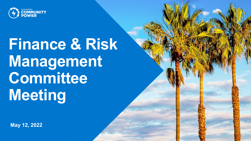

# **Finance & Risk Management Committee Meeting**

**May 12, 2022**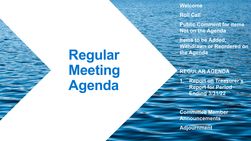## **Regular Meeting Agenda**

**Welcome**

**Roll Call**

**Public Comment for items Not on the Agenda**

**Items to be Added, Withdrawn or Reordered on the Agenda**

**REGULAR AGENDA**

**1. Report on Treasurer's Report for Period Ending 3/31/22**

**Committee Member Announcements**

**Adjournment**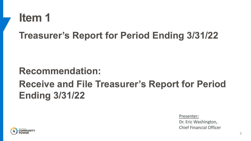

#### **Recommendation: Receive and File Treasurer's Report for Period Ending 3/31/22**

Presenter:

Dr. Eric Washington, Chief Financial Officer

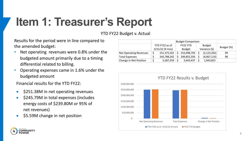### **Item 1: Treasurer's Report**

YTD FY22 Budget v. Actual

Results for the period were in line compared to the amended budget:

- Net operating revenues were 0.8% under the budgeted amount primarily due to a timing differential related to billing.
- Operating expenses came in 1.6% under the budgeted amount

Financial results for the YTD FY22:

- \$251.38M in net operating revenues
- \$245.79M in total expenses (includes energy costs of \$239.80M or 95% of net revenues)
- \$5.59M change in net position

|                               | YTD FY22 as of<br>$3/31/22$ (9 mos) |             | <b>FY22 YTD</b><br><b>Budget</b> |             | <b>Budget</b><br>Variance (\$) |               | Budget (%) |
|-------------------------------|-------------------------------------|-------------|----------------------------------|-------------|--------------------------------|---------------|------------|
| <b>Net Operating Revenues</b> |                                     | 251,375,501 |                                  | 253,498,793 |                                | (2, 123, 292) | 99         |
| <b>Total Expenses</b>         |                                     | 245,788,242 |                                  | 249,855,356 |                                | (4,067,114)   | 98         |
| Change in Net Position        |                                     | 5,587,259   |                                  | 3,643,437   |                                | 1,943,822     |            |



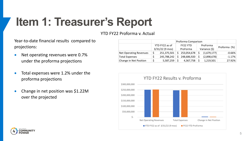### **Item 1: Treasurer's Report**

YTD FY22 Proforma v. Actual

Year-to-date financial results compared to projections:

- Net operating revenues were 0.7% under the proforma projections
- Total expenses were 1.2% under the proforma projections
- Change in net position was \$1.22M over the projected

|                               | YTD FY22 as of<br>$3/31/22$ (9 mos) | <b>FY22 YTD</b><br>ProForma |             | ProForma<br>Variance (\$) |             | Proforma (%) |
|-------------------------------|-------------------------------------|-----------------------------|-------------|---------------------------|-------------|--------------|
| <b>Net Operating Revenues</b> | 251,375,501                         |                             | 253,054,678 |                           | (1,679,177) | $-0.66%$     |
| <b>Total Expenses</b>         | 245,788,242                         | Ś                           | 248,686,920 |                           | (2,898,678) | $-1.17%$     |
| Change in Net Position        | 5,587,259                           |                             | 4,367,758   |                           | 1,219,501   | 27.92%       |



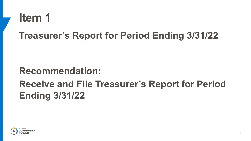

#### **Recommendation: Receive and File Treasurer's Report for Period Ending 3/31/22**